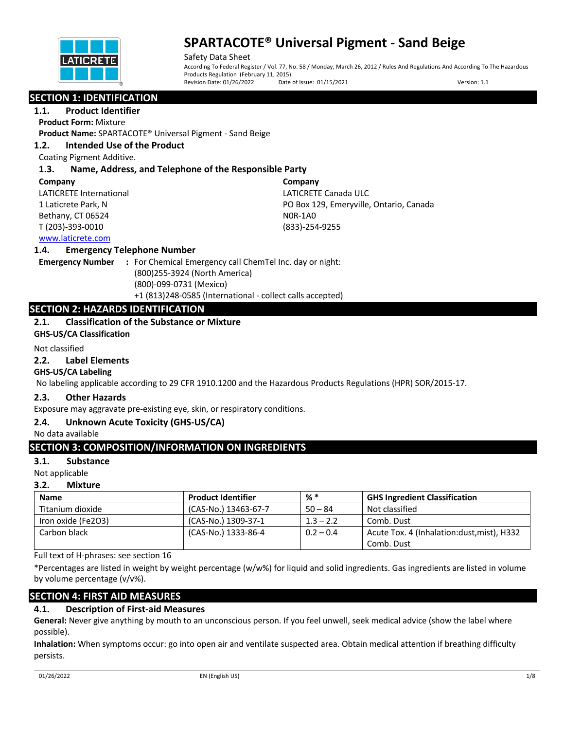

Safety Data Sheet According To Federal Register / Vol. 77, No. 58 / Monday, March 26, 2012 / Rules And Regulations And According To The Hazardous Products Regulation (February 11, 2015).<br>Revision Date: 01/26/2022 Date Date of Issue: 01/15/2021 Version: 1.1

# **SECTION 1: IDENTIFICATION**

**1.1. Product Identifier**

**Product Form:** Mixture

**Product Name:** SPARTACOTE® Universal Pigment - Sand Beige

## **1.2. Intended Use of the Product**

Coating Pigment Additive.

## **1.3. Name, Address, and Telephone of the Responsible Party**

#### **Company**

LATICRETE International 1 Laticrete Park, N Bethany, CT 06524 T (203)-393-0010

**Company** LATICRETE Canada ULC PO Box 129, Emeryville, Ontario, Canada N0R-1A0 (833)-254-9255

## www.laticrete.com

## **1.4. Emergency Telephone Number**

**Emergency Number :** For Chemical Emergency call ChemTel Inc. day or night: (800)255-3924 (North America) (800)-099-0731 (Mexico) +1 (813)248-0585 (International - collect calls accepted)

# **SECTION 2: HAZARDS IDENTIFICATION**

## **2.1. Classification of the Substance or Mixture**

**GHS-US/CA Classification**

#### Not classified

### **2.2. Label Elements**

## **GHS-US/CA Labeling**

No labeling applicable according to 29 CFR 1910.1200 and the Hazardous Products Regulations (HPR) SOR/2015-17.

## **2.3. Other Hazards**

Exposure may aggravate pre-existing eye, skin, or respiratory conditions.

## **2.4. Unknown Acute Toxicity (GHS-US/CA)**

No data available

# **SECTION 3: COMPOSITION/INFORMATION ON INGREDIENTS**

## **3.1. Substance**

Not applicable

## **3.2. Mixture**

| <b>Name</b>        | <b>Product Identifier</b> | %*          | <b>GHS Ingredient Classification</b>        |
|--------------------|---------------------------|-------------|---------------------------------------------|
| Titanium dioxide   | (CAS-No.) 13463-67-7      | $50 - 84$   | Not classified                              |
| Iron oxide (Fe2O3) | (CAS-No.) 1309-37-1       | $1.3 - 2.2$ | Comb. Dust                                  |
| Carbon black       | (CAS-No.) 1333-86-4       | $0.2 - 0.4$ | Acute Tox. 4 (Inhalation: dust, mist), H332 |
|                    |                           |             | Comb. Dust                                  |

Full text of H-phrases: see section 16

\*Percentages are listed in weight by weight percentage (w/w%) for liquid and solid ingredients. Gas ingredients are listed in volume by volume percentage (v/v%).

# **SECTION 4: FIRST AID MEASURES**

# **4.1. Description of First-aid Measures**

**General:** Never give anything by mouth to an unconscious person. If you feel unwell, seek medical advice (show the label where possible).

**Inhalation:** When symptoms occur: go into open air and ventilate suspected area. Obtain medical attention if breathing difficulty persists.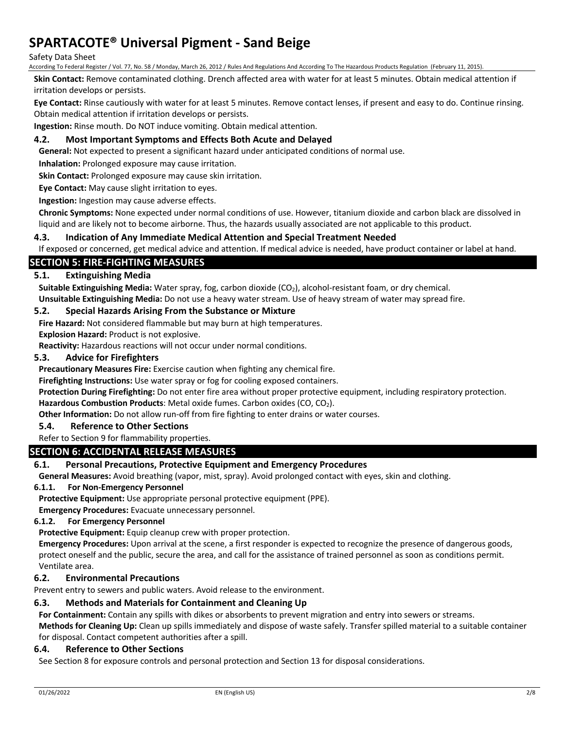### Safety Data Sheet

According To Federal Register / Vol. 77, No. 58 / Monday, March 26, 2012 / Rules And Regulations And According To The Hazardous Products Regulation (February 11, 2015).

**Skin Contact:** Remove contaminated clothing. Drench affected area with water for at least 5 minutes. Obtain medical attention if irritation develops or persists.

**Eye Contact:** Rinse cautiously with water for at least 5 minutes. Remove contact lenses, if present and easy to do. Continue rinsing. Obtain medical attention if irritation develops or persists.

**Ingestion:** Rinse mouth. Do NOT induce vomiting. Obtain medical attention.

## **4.2. Most Important Symptoms and Effects Both Acute and Delayed**

**General:** Not expected to present a significant hazard under anticipated conditions of normal use.

**Inhalation:** Prolonged exposure may cause irritation.

**Skin Contact:** Prolonged exposure may cause skin irritation.

**Eye Contact:** May cause slight irritation to eyes.

**Ingestion:** Ingestion may cause adverse effects.

**Chronic Symptoms:** None expected under normal conditions of use. However, titanium dioxide and carbon black are dissolved in liquid and are likely not to become airborne. Thus, the hazards usually associated are not applicable to this product.

#### **4.3. Indication of Any Immediate Medical Attention and Special Treatment Needed**

If exposed or concerned, get medical advice and attention. If medical advice is needed, have product container or label at hand.

## **SECTION 5: FIRE-FIGHTING MEASURES**

#### **5.1. Extinguishing Media**

Suitable Extinguishing Media: Water spray, fog, carbon dioxide (CO<sub>2</sub>), alcohol-resistant foam, or dry chemical. **Unsuitable Extinguishing Media:** Do not use a heavy water stream. Use of heavy stream of water may spread fire.

#### **5.2. Special Hazards Arising From the Substance or Mixture**

**Fire Hazard:** Not considered flammable but may burn at high temperatures.

**Explosion Hazard:** Product is not explosive.

**Reactivity:** Hazardous reactions will not occur under normal conditions.

#### **5.3. Advice for Firefighters**

**Precautionary Measures Fire:** Exercise caution when fighting any chemical fire.

**Firefighting Instructions:** Use water spray or fog for cooling exposed containers.

**Protection During Firefighting:** Do not enter fire area without proper protective equipment, including respiratory protection.

Hazardous Combustion Products: Metal oxide fumes. Carbon oxides (CO, CO<sub>2</sub>).

**Other Information:** Do not allow run-off from fire fighting to enter drains or water courses.

#### **5.4. Reference to Other Sections**

#### Refer to Section 9 for flammability properties.

## **SECTION 6: ACCIDENTAL RELEASE MEASURES**

## **6.1. Personal Precautions, Protective Equipment and Emergency Procedures**

**General Measures:** Avoid breathing (vapor, mist, spray). Avoid prolonged contact with eyes, skin and clothing.

#### **6.1.1. For Non-Emergency Personnel**

**Protective Equipment:** Use appropriate personal protective equipment (PPE).

**Emergency Procedures:** Evacuate unnecessary personnel.

## **6.1.2. For Emergency Personnel**

**Protective Equipment:** Equip cleanup crew with proper protection.

**Emergency Procedures:** Upon arrival at the scene, a first responder is expected to recognize the presence of dangerous goods, protect oneself and the public, secure the area, and call for the assistance of trained personnel as soon as conditions permit. Ventilate area.

## **6.2. Environmental Precautions**

Prevent entry to sewers and public waters. Avoid release to the environment.

## **6.3. Methods and Materials for Containment and Cleaning Up**

**For Containment:** Contain any spills with dikes or absorbents to prevent migration and entry into sewers or streams.

**Methods for Cleaning Up:** Clean up spills immediately and dispose of waste safely. Transfer spilled material to a suitable container for disposal. Contact competent authorities after a spill.

#### **6.4. Reference to Other Sections**

See Section 8 for exposure controls and personal protection and Section 13 for disposal considerations.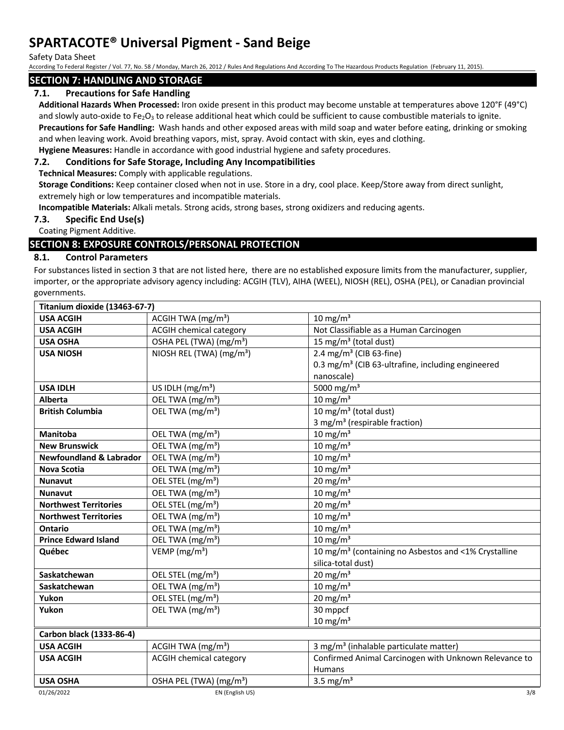Safety Data Sheet

According To Federal Register / Vol. 77, No. 58 / Monday, March 26, 2012 / Rules And Regulations And According To The Hazardous Products Regulation (February 11, 2015).

# **SECTION 7: HANDLING AND STORAGE**

# **7.1. Precautions for Safe Handling**

**Additional Hazards When Processed:** Iron oxide present in this product may become unstable at temperatures above 120°F (49°C) and slowly auto-oxide to Fe<sub>2</sub>O<sub>3</sub> to release additional heat which could be sufficient to cause combustible materials to ignite.

**Precautions for Safe Handling:** Wash hands and other exposed areas with mild soap and water before eating, drinking or smoking and when leaving work. Avoid breathing vapors, mist, spray. Avoid contact with skin, eyes and clothing.

**Hygiene Measures:** Handle in accordance with good industrial hygiene and safety procedures.

## **7.2. Conditions for Safe Storage, Including Any Incompatibilities**

**Technical Measures:** Comply with applicable regulations.

**Storage Conditions:** Keep container closed when not in use. Store in a dry, cool place. Keep/Store away from direct sunlight, extremely high or low temperatures and incompatible materials.

**Incompatible Materials:** Alkali metals. Strong acids, strong bases, strong oxidizers and reducing agents.

## **7.3. Specific End Use(s)**

Coating Pigment Additive.

# **SECTION 8: EXPOSURE CONTROLS/PERSONAL PROTECTION**

## **8.1. Control Parameters**

For substances listed in section 3 that are not listed here, there are no established exposure limits from the manufacturer, supplier, importer, or the appropriate advisory agency including: ACGIH (TLV), AIHA (WEEL), NIOSH (REL), OSHA (PEL), or Canadian provincial governments.

| Titanium dioxide (13463-67-7)      |                                      |                                                                  |  |  |
|------------------------------------|--------------------------------------|------------------------------------------------------------------|--|--|
| <b>USA ACGIH</b>                   | ACGIH TWA $(mg/m3)$                  | $10 \text{ mg/m}^3$                                              |  |  |
| <b>USA ACGIH</b>                   | <b>ACGIH chemical category</b>       | Not Classifiable as a Human Carcinogen                           |  |  |
| <b>USA OSHA</b>                    | OSHA PEL (TWA) (mg/m <sup>3</sup> )  | 15 mg/m <sup>3</sup> (total dust)                                |  |  |
| <b>USA NIOSH</b>                   | NIOSH REL (TWA) (mg/m <sup>3</sup> ) | 2.4 mg/m <sup>3</sup> (CIB 63-fine)                              |  |  |
|                                    |                                      | 0.3 mg/m <sup>3</sup> (CIB 63-ultrafine, including engineered    |  |  |
|                                    |                                      | nanoscale)                                                       |  |  |
| <b>USA IDLH</b>                    | US IDLH $(mg/m3)$                    | 5000 mg/m <sup>3</sup>                                           |  |  |
| <b>Alberta</b>                     | OEL TWA (mg/m <sup>3</sup> )         | $10 \text{ mg/m}^3$                                              |  |  |
| <b>British Columbia</b>            | OEL TWA (mg/m <sup>3</sup> )         | 10 mg/m $3$ (total dust)                                         |  |  |
|                                    |                                      | 3 mg/m <sup>3</sup> (respirable fraction)                        |  |  |
| <b>Manitoba</b>                    | OEL TWA (mg/m <sup>3</sup> )         | $10 \text{ mg/m}^3$                                              |  |  |
| <b>New Brunswick</b>               | OEL TWA (mg/m <sup>3</sup> )         | $10 \text{ mg/m}^3$                                              |  |  |
| <b>Newfoundland &amp; Labrador</b> | OEL TWA (mg/m <sup>3</sup> )         | 10 mg/m $3$                                                      |  |  |
| <b>Nova Scotia</b>                 | OEL TWA (mg/m <sup>3</sup> )         | 10 mg/m $3$                                                      |  |  |
| <b>Nunavut</b>                     | OEL STEL (mg/m <sup>3</sup> )        | 20 mg/m $3$                                                      |  |  |
| <b>Nunavut</b>                     | OEL TWA (mg/m <sup>3</sup> )         | $10 \text{ mg/m}^3$                                              |  |  |
| <b>Northwest Territories</b>       | OEL STEL (mg/m <sup>3</sup> )        | 20 mg/m $3$                                                      |  |  |
| <b>Northwest Territories</b>       | OEL TWA (mg/m <sup>3</sup> )         | $10 \text{ mg/m}^3$                                              |  |  |
| Ontario                            | OEL TWA (mg/m <sup>3</sup> )         | 10 mg/m $3$                                                      |  |  |
| <b>Prince Edward Island</b>        | OEL TWA (mg/m <sup>3</sup> )         | 10 mg/ $m3$                                                      |  |  |
| Québec                             | VEMP ( $mg/m3$ )                     | 10 mg/m <sup>3</sup> (containing no Asbestos and <1% Crystalline |  |  |
|                                    |                                      | silica-total dust)                                               |  |  |
| Saskatchewan                       | OEL STEL (mg/m <sup>3</sup> )        | $20 \text{ mg/m}^3$                                              |  |  |
| Saskatchewan                       | OEL TWA (mg/m <sup>3</sup> )         | 10 mg/m $3$                                                      |  |  |
| Yukon                              | OEL STEL (mg/m <sup>3</sup> )        | 20 mg/m $3$                                                      |  |  |
| Yukon                              | OEL TWA (mg/m <sup>3</sup> )         | 30 mppcf                                                         |  |  |
|                                    |                                      | $10 \text{ mg/m}^3$                                              |  |  |
| Carbon black (1333-86-4)           |                                      |                                                                  |  |  |
| <b>USA ACGIH</b>                   | ACGIH TWA $(mg/m3)$                  | 3 mg/m <sup>3</sup> (inhalable particulate matter)               |  |  |
| <b>USA ACGIH</b>                   | <b>ACGIH chemical category</b>       | Confirmed Animal Carcinogen with Unknown Relevance to            |  |  |
|                                    |                                      | <b>Humans</b>                                                    |  |  |
| <b>USA OSHA</b>                    | OSHA PEL (TWA) (mg/m <sup>3</sup> )  | 3.5 mg/ $m3$                                                     |  |  |
| 01/26/2022                         | EN (English US)                      | 3/8                                                              |  |  |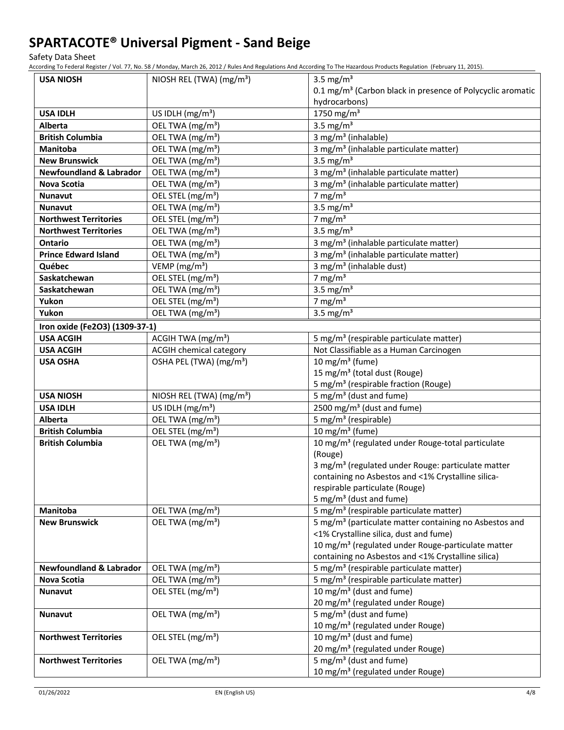Safety Data Sheet

According To Federal Register / Vol. 77, No. 58 / Monday, March 26, 2012 / Rules And Regulations And According To The Hazardous Products Regulation (February 11, 2015).

| <b>USA NIOSH</b>                   | NIOSH REL (TWA) (mg/m <sup>3</sup> ) | 3.5 mg/m <sup>3</sup>                                                  |  |
|------------------------------------|--------------------------------------|------------------------------------------------------------------------|--|
|                                    |                                      | 0.1 mg/m <sup>3</sup> (Carbon black in presence of Polycyclic aromatic |  |
|                                    |                                      | hydrocarbons)                                                          |  |
| <b>USA IDLH</b>                    | US IDLH $(mg/m3)$                    | 1750 mg/m <sup>3</sup>                                                 |  |
| <b>Alberta</b>                     | OEL TWA (mg/m <sup>3</sup> )         | 3.5 mg/ $m3$                                                           |  |
| <b>British Columbia</b>            | OEL TWA (mg/m <sup>3</sup> )         | 3 mg/m <sup>3</sup> (inhalable)                                        |  |
| <b>Manitoba</b>                    | OEL TWA (mg/m <sup>3</sup> )         | 3 mg/m <sup>3</sup> (inhalable particulate matter)                     |  |
| <b>New Brunswick</b>               | OEL TWA (mg/m <sup>3</sup> )         | 3.5 mg/ $m3$                                                           |  |
| <b>Newfoundland &amp; Labrador</b> | OEL TWA (mg/m <sup>3</sup> )         | 3 mg/m <sup>3</sup> (inhalable particulate matter)                     |  |
| Nova Scotia                        | OEL TWA (mg/m <sup>3</sup> )         | 3 mg/m <sup>3</sup> (inhalable particulate matter)                     |  |
| <b>Nunavut</b>                     | OEL STEL (mg/m <sup>3</sup> )        | 7 mg/m $3$                                                             |  |
| <b>Nunavut</b>                     | OEL TWA (mg/m <sup>3</sup> )         | 3.5 mg/m <sup>3</sup>                                                  |  |
| <b>Northwest Territories</b>       | OEL STEL (mg/m <sup>3</sup> )        | 7 mg/m $3$                                                             |  |
| <b>Northwest Territories</b>       | OEL TWA (mg/m <sup>3</sup> )         | 3.5 mg/ $m3$                                                           |  |
| <b>Ontario</b>                     | OEL TWA (mg/m <sup>3</sup> )         | 3 mg/m <sup>3</sup> (inhalable particulate matter)                     |  |
| <b>Prince Edward Island</b>        | OEL TWA (mg/m <sup>3</sup> )         | 3 mg/m <sup>3</sup> (inhalable particulate matter)                     |  |
| Québec                             | VEMP ( $mg/m3$ )                     | 3 mg/m <sup>3</sup> (inhalable dust)                                   |  |
| Saskatchewan                       | OEL STEL (mg/m <sup>3</sup> )        | 7 mg/m $3$                                                             |  |
| Saskatchewan                       | OEL TWA (mg/m <sup>3</sup> )         | 3.5 mg/ $m3$                                                           |  |
| Yukon                              | OEL STEL (mg/m <sup>3</sup> )        | 7 mg/m $3$                                                             |  |
| Yukon                              | OEL TWA (mg/m <sup>3</sup> )         | 3.5 mg/ $m3$                                                           |  |
| Iron oxide (Fe2O3) (1309-37-1)     |                                      |                                                                        |  |
| <b>USA ACGIH</b>                   | ACGIH TWA (mg/m <sup>3</sup> )       | 5 mg/m <sup>3</sup> (respirable particulate matter)                    |  |
| <b>USA ACGIH</b>                   | <b>ACGIH chemical category</b>       | Not Classifiable as a Human Carcinogen                                 |  |
| <b>USA OSHA</b>                    | OSHA PEL (TWA) (mg/m <sup>3</sup> )  | 10 mg/m <sup>3</sup> (fume)                                            |  |
|                                    |                                      | 15 mg/m <sup>3</sup> (total dust (Rouge)                               |  |
|                                    |                                      | 5 mg/m <sup>3</sup> (respirable fraction (Rouge)                       |  |
| <b>USA NIOSH</b>                   | NIOSH REL (TWA) (mg/m <sup>3</sup> ) | 5 mg/m <sup>3</sup> (dust and fume)                                    |  |
| <b>USA IDLH</b>                    | US IDLH (mg/m <sup>3</sup> )         | 2500 mg/m <sup>3</sup> (dust and fume)                                 |  |
| Alberta                            | OEL TWA (mg/m <sup>3</sup> )         | 5 mg/m <sup>3</sup> (respirable)                                       |  |
| <b>British Columbia</b>            | OEL STEL (mg/m <sup>3</sup> )        | 10 mg/m $3$ (fume)                                                     |  |
| <b>British Columbia</b>            | OEL TWA (mg/m <sup>3</sup> )         | 10 mg/m <sup>3</sup> (regulated under Rouge-total particulate          |  |
|                                    |                                      | (Rouge)                                                                |  |
|                                    |                                      | 3 mg/m <sup>3</sup> (regulated under Rouge: particulate matter         |  |
|                                    |                                      | containing no Asbestos and <1% Crystalline silica-                     |  |
|                                    |                                      | respirable particulate (Rouge)                                         |  |
|                                    |                                      | 5 mg/m <sup>3</sup> (dust and fume)                                    |  |
| Manitoba                           | OEL TWA (mg/m <sup>3</sup> )         | 5 mg/m <sup>3</sup> (respirable particulate matter)                    |  |
| <b>New Brunswick</b>               | OEL TWA (mg/m <sup>3</sup> )         | 5 mg/m <sup>3</sup> (particulate matter containing no Asbestos and     |  |
|                                    |                                      | <1% Crystalline silica, dust and fume)                                 |  |
|                                    |                                      | 10 mg/m <sup>3</sup> (regulated under Rouge-particulate matter         |  |
|                                    |                                      | containing no Asbestos and <1% Crystalline silica)                     |  |
| <b>Newfoundland &amp; Labrador</b> | OEL TWA (mg/m <sup>3</sup> )         | 5 mg/m <sup>3</sup> (respirable particulate matter)                    |  |
| Nova Scotia                        | OEL TWA (mg/m <sup>3</sup> )         | 5 mg/m <sup>3</sup> (respirable particulate matter)                    |  |
| Nunavut                            | OEL STEL (mg/m <sup>3</sup> )        | $\frac{10 \text{ mg}}{m^3}$ (dust and fume)                            |  |
|                                    |                                      | 20 mg/m <sup>3</sup> (regulated under Rouge)                           |  |
| <b>Nunavut</b>                     | OEL TWA (mg/m <sup>3</sup> )         | 5 mg/m <sup>3</sup> (dust and fume)                                    |  |
|                                    |                                      | 10 mg/m <sup>3</sup> (regulated under Rouge)                           |  |
| <b>Northwest Territories</b>       | OEL STEL (mg/m <sup>3</sup> )        | $10 \text{ mg/m}^3$ (dust and fume)                                    |  |
|                                    |                                      | 20 mg/m <sup>3</sup> (regulated under Rouge)                           |  |
| <b>Northwest Territories</b>       | OEL TWA (mg/m <sup>3</sup> )         | 5 mg/m <sup>3</sup> (dust and fume)                                    |  |
|                                    |                                      | 10 mg/m <sup>3</sup> (regulated under Rouge)                           |  |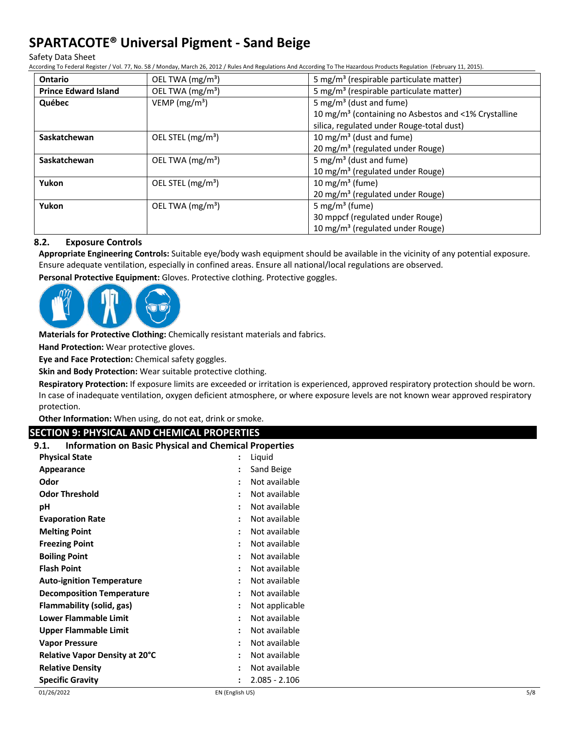Safety Data Sheet

According To Federal Register / Vol. 77, No. 58 / Monday, March 26, 2012 / Rules And Regulations And According To The Hazardous Products Regulation (February 11, 2015).

| <b>Ontario</b>              | OEL TWA (mg/m <sup>3</sup> )  | 5 mg/m <sup>3</sup> (respirable particulate matter)              |
|-----------------------------|-------------------------------|------------------------------------------------------------------|
| <b>Prince Edward Island</b> | OEL TWA (mg/m <sup>3</sup> )  | 5 mg/m <sup>3</sup> (respirable particulate matter)              |
| Québec                      | VEMP ( $mg/m3$ )              | 5 mg/m <sup>3</sup> (dust and fume)                              |
|                             |                               | 10 mg/m <sup>3</sup> (containing no Asbestos and <1% Crystalline |
|                             |                               | silica, regulated under Rouge-total dust)                        |
| Saskatchewan                | OEL STEL (mg/m <sup>3</sup> ) | 10 mg/m <sup>3</sup> (dust and fume)                             |
|                             |                               | 20 mg/m <sup>3</sup> (regulated under Rouge)                     |
| Saskatchewan                | OEL TWA $(mg/m3)$             | 5 mg/m <sup>3</sup> (dust and fume)                              |
|                             |                               | 10 mg/m <sup>3</sup> (regulated under Rouge)                     |
| Yukon                       | OEL STEL (mg/m <sup>3</sup> ) | 10 mg/m <sup>3</sup> (fume)                                      |
|                             |                               | 20 mg/m <sup>3</sup> (regulated under Rouge)                     |
| Yukon                       | OEL TWA (mg/m <sup>3</sup> )  | 5 mg/m <sup>3</sup> (fume)                                       |
|                             |                               | 30 mppcf (regulated under Rouge)                                 |
|                             |                               | 10 mg/m <sup>3</sup> (regulated under Rouge)                     |

## **8.2. Exposure Controls**

**Appropriate Engineering Controls:** Suitable eye/body wash equipment should be available in the vicinity of any potential exposure. Ensure adequate ventilation, especially in confined areas. Ensure all national/local regulations are observed.

**Personal Protective Equipment:** Gloves. Protective clothing. Protective goggles.



**Materials for Protective Clothing:** Chemically resistant materials and fabrics.

**Hand Protection:** Wear protective gloves.

**Eye and Face Protection:** Chemical safety goggles.

**Skin and Body Protection:** Wear suitable protective clothing.

**Respiratory Protection:** If exposure limits are exceeded or irritation is experienced, approved respiratory protection should be worn. In case of inadequate ventilation, oxygen deficient atmosphere, or where exposure levels are not known wear approved respiratory protection.

**Other Information:** When using, do not eat, drink or smoke.

# **SECTION 9: PHYSICAL AND CHEMICAL PROPERTIES**

| <b>Information on Basic Physical and Chemical Properties</b><br>9.1. |                      |                 |
|----------------------------------------------------------------------|----------------------|-----------------|
| <b>Physical State</b>                                                |                      | Liquid          |
| Appearance                                                           | $\ddot{\cdot}$       | Sand Beige      |
| Odor                                                                 |                      | Not available   |
| <b>Odor Threshold</b>                                                |                      | Not available   |
| рH                                                                   |                      | Not available   |
| <b>Evaporation Rate</b>                                              | $\ddot{\cdot}$       | Not available   |
| <b>Melting Point</b>                                                 |                      | Not available   |
| <b>Freezing Point</b>                                                |                      | Not available   |
| <b>Boiling Point</b>                                                 | $\cdot$              | Not available   |
| <b>Flash Point</b>                                                   | $\cdot$              | Not available   |
| <b>Auto-ignition Temperature</b>                                     |                      | Not available   |
| <b>Decomposition Temperature</b>                                     |                      | Not available   |
| Flammability (solid, gas)                                            | $\ddot{\phantom{a}}$ | Not applicable  |
| Lower Flammable Limit                                                | $\cdot$              | Not available   |
| <b>Upper Flammable Limit</b>                                         |                      | Not available   |
| <b>Vapor Pressure</b>                                                |                      | Not available   |
| <b>Relative Vapor Density at 20°C</b>                                |                      | Not available   |
| <b>Relative Density</b>                                              | $\ddot{\cdot}$       | Not available   |
| <b>Specific Gravity</b>                                              |                      | $2.085 - 2.106$ |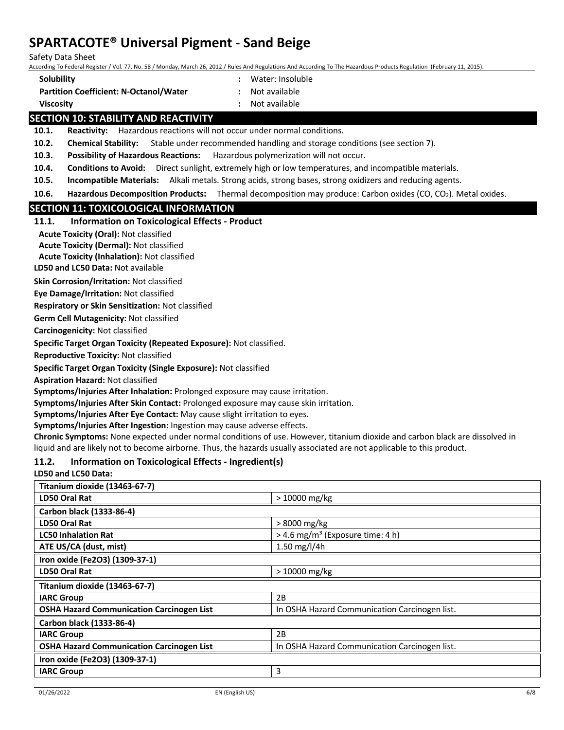Safety Data Sheet

According To Federal Register / Vol. 77, No. 58 / Monday, March 26, 2012 / Rules And Regulations And According To The Hazardous Products Regulation (February 11, 2015).

- **Solubility :** Water: Insoluble
- **Partition Coefficient: N-Octanol/Water :** Not available
- 
- **Viscosity :** Not available

# **SECTION 10: STABILITY AND REACTIVITY**

**10.1. Reactivity:** Hazardous reactions will not occur under normal conditions.

**10.2. Chemical Stability:** Stable under recommended handling and storage conditions (see section 7).

**10.3. Possibility of Hazardous Reactions:** Hazardous polymerization will not occur.

- **10.4. Conditions to Avoid:** Direct sunlight, extremely high or low temperatures, and incompatible materials.
- **10.5. Incompatible Materials:** Alkali metals. Strong acids, strong bases, strong oxidizers and reducing agents.

**10.6. Hazardous Decomposition Products:** Thermal decomposition may produce: Carbon oxides (CO, CO<sub>2</sub>). Metal oxides.

# **SECTION 11: TOXICOLOGICAL INFORMATION**

| 11.1. | <b>Information on Toxicological Effects - Product</b> |
|-------|-------------------------------------------------------|
|-------|-------------------------------------------------------|

**Acute Toxicity (Oral):** Not classified

**Acute Toxicity (Dermal):** Not classified

**Acute Toxicity (Inhalation):** Not classified

**LD50 and LC50 Data:** Not available

**Skin Corrosion/Irritation:** Not classified

**Eye Damage/Irritation:** Not classified

**Respiratory or Skin Sensitization:** Not classified

**Germ Cell Mutagenicity:** Not classified

**Carcinogenicity:** Not classified

**Specific Target Organ Toxicity (Repeated Exposure):** Not classified.

**Reproductive Toxicity:** Not classified

**Specific Target Organ Toxicity (Single Exposure):** Not classified

**Aspiration Hazard:** Not classified

**Symptoms/Injuries After Inhalation:** Prolonged exposure may cause irritation.

**Symptoms/Injuries After Skin Contact:** Prolonged exposure may cause skin irritation.

**Symptoms/Injuries After Eye Contact:** May cause slight irritation to eyes.

**Symptoms/Injuries After Ingestion:** Ingestion may cause adverse effects.

**Chronic Symptoms:** None expected under normal conditions of use. However, titanium dioxide and carbon black are dissolved in liquid and are likely not to become airborne. Thus, the hazards usually associated are not applicable to this product.

# **11.2. Information on Toxicological Effects - Ingredient(s)**

## **LD50 and LC50 Data:**

| $>10000$ mg/kg                                 |
|------------------------------------------------|
|                                                |
| > 8000 mg/kg                                   |
| $>$ 4.6 mg/m <sup>3</sup> (Exposure time: 4 h) |
| 1.50 mg/l/4h                                   |
|                                                |
| $>10000$ mg/kg                                 |
|                                                |
| 2B                                             |
| In OSHA Hazard Communication Carcinogen list.  |
|                                                |
| 2B                                             |
| In OSHA Hazard Communication Carcinogen list.  |
|                                                |
| 3                                              |
|                                                |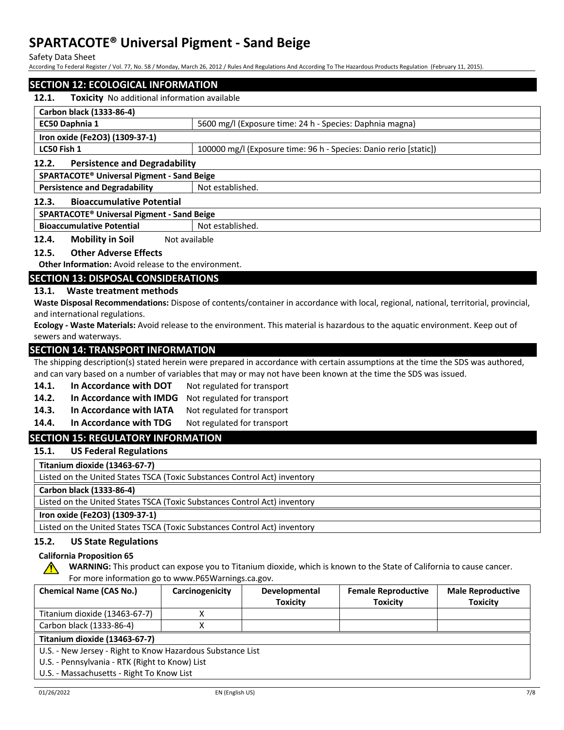Safety Data Sheet

According To Federal Register / Vol. 77, No. 58 / Monday, March 26, 2012 / Rules And Regulations And According To The Hazardous Products Regulation (February 11, 2015).

# **SECTION 12: ECOLOGICAL INFORMATION 12.1. Toxicity** No additional information available **Carbon black (1333-86-4) EC50 Daphnia 1** 5600 mg/l (Exposure time: 24 h - Species: Daphnia magna) **Iron oxide (Fe2O3) (1309-37-1) LC50 Fish 1** 100000 mg/l (Exposure time: 96 h - Species: Danio rerio [static]) **12.2. Persistence and Degradability SPARTACOTE® Universal Pigment - Sand Beige Persistence and Degradability** Not established. **12.3. Bioaccumulative Potential SPARTACOTE® Universal Pigment - Sand Beige**

**Bioaccumulative Potential** Not established.

**12.4. Mobility in Soil** Not available

## **12.5. Other Adverse Effects**

**Other Information:** Avoid release to the environment.

# **SECTION 13: DISPOSAL CONSIDERATIONS**

## **13.1. Waste treatment methods**

**Waste Disposal Recommendations:** Dispose of contents/container in accordance with local, regional, national, territorial, provincial, and international regulations.

**Ecology - Waste Materials:** Avoid release to the environment. This material is hazardous to the aquatic environment. Keep out of sewers and waterways.

# **SECTION 14: TRANSPORT INFORMATION**

The shipping description(s) stated herein were prepared in accordance with certain assumptions at the time the SDS was authored, and can vary based on a number of variables that may or may not have been known at the time the SDS was issued.

- 14.1. In Accordance with DOT Not regulated for transport
- **14.2. In Accordance with IMDG** Not regulated for transport
- 14.3. In Accordance with IATA Not regulated for transport
- 14.4. In Accordance with TDG Not regulated for transport

# **SECTION 15: REGULATORY INFORMATION**

**15.1. US Federal Regulations**

**Titanium dioxide (13463-67-7)**

Listed on the United States TSCA (Toxic Substances Control Act) inventory

**Carbon black (1333-86-4)**

Listed on the United States TSCA (Toxic Substances Control Act) inventory

## **Iron oxide (Fe2O3) (1309-37-1)**

Listed on the United States TSCA (Toxic Substances Control Act) inventory

# **15.2. US State Regulations**

# **California Proposition 65**

**WARNING:** This product can expose you to Titanium dioxide, which is known to the State of California to cause cancer. For more information go to www.P65Warnings.ca.gov.

| <b>Chemical Name (CAS No.)</b>                             | Carcinogenicity | <b>Developmental</b> | <b>Female Reproductive</b> | <b>Male Reproductive</b> |
|------------------------------------------------------------|-----------------|----------------------|----------------------------|--------------------------|
|                                                            |                 | <b>Toxicity</b>      | <b>Toxicity</b>            | <b>Toxicity</b>          |
| Titanium dioxide (13463-67-7)                              |                 |                      |                            |                          |
| Carbon black (1333-86-4)                                   |                 |                      |                            |                          |
| Titanium dioxide (13463-67-7)                              |                 |                      |                            |                          |
| U.S. - New Jersey - Right to Know Hazardous Substance List |                 |                      |                            |                          |
| U.S. - Pennsylvania - RTK (Right to Know) List             |                 |                      |                            |                          |
| U.S. - Massachusetts - Right To Know List                  |                 |                      |                            |                          |

∕Ր